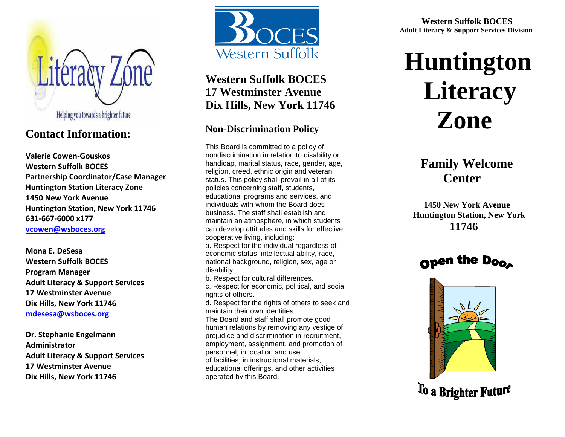

# **Contact Information:**

**Valerie Cowen-Gouskos Western Suffolk BOCES Partnership Coordinator/Case Manager Huntington Station Literacy Zone 1450 New York Avenue Huntington Station, New York 11746 631-667-6000 x177 [vcowen@wsboces.org](mailto:vcowen@wsboces.org)**

**Mona E. DeSesa Western Suffolk BOCES Program Manager Adult Literacy & Support Services 17 Westminster Avenue Dix Hills, New York 11746 [mdesesa@wsboces.org](mailto:mdesesa@wsboces.org)**

**Dr. Stephanie Engelmann Administrator Adult Literacy & Support Services 17 Westminster Avenue Dix Hills, New York 11746**



# **Western Suffolk BOCES 17 Westminster Avenue Dix Hills, New York 11746**

## **Non-Discrimination Policy**

This Board is committed to a policy of nondiscrimination in relation to disability or handicap, marital status, race, gender, age, religion, creed, ethnic origin and veteran status. This policy shall prevail in all of its policies concerning staff, students, educational programs and services, and individuals with whom the Board does business. The staff shall establish and maintain an atmosphere, in which students can develop attitudes and skills for effective, cooperative living, including: a. Respect for the individual regardless of economic status, intellectual ability, race, national background, religion, sex, age or disability. b. Respect for cultural differences. c. Respect for economic, political, and social rights of others. d. Respect for the rights of others to seek and maintain their own identities.

The Board and staff shall promote good human relations by removing any vestige of prejudice and discrimination in recruitment, employment, assignment, and promotion of personnel; in location and use of facilities; in instructional materials, educational offerings, and other activities operated by this Board.

 **Western Suffolk BOCES Adult Literacy & Support Services Division**

# **Huntington Literacy Zone**

# **Family Welcome Center**

 **1450 New York Avenue Huntington Station, New York 11746**





To a Brighter Future